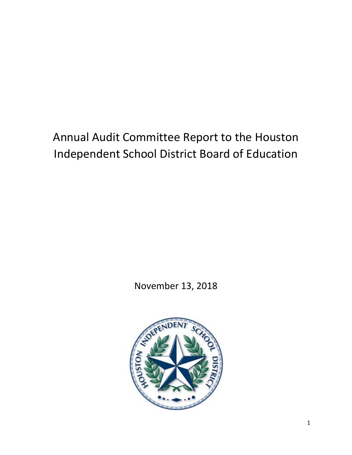# Annual Audit Committee Report to the Houston Independent School District Board of Education

November 13, 2018

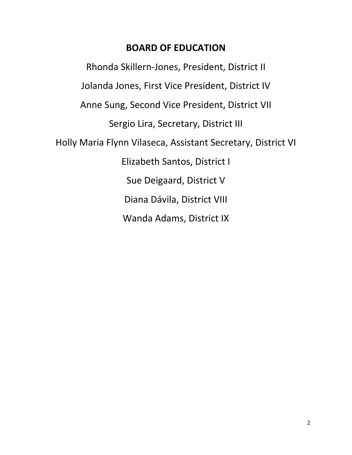# **BOARD OF EDUCATION**

Rhonda Skillern‐Jones, President, District II Jolanda Jones, First Vice President, District IV Anne Sung, Second Vice President, District VII Sergio Lira, Secretary, District III Holly Maria Flynn Vilaseca, Assistant Secretary, District VI Elizabeth Santos, District I Sue Deigaard, District V Diana Dávila, District VIII Wanda Adams, District IX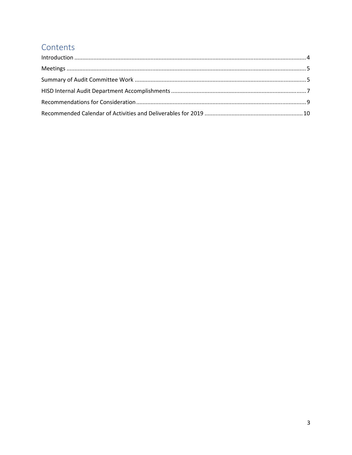### Contents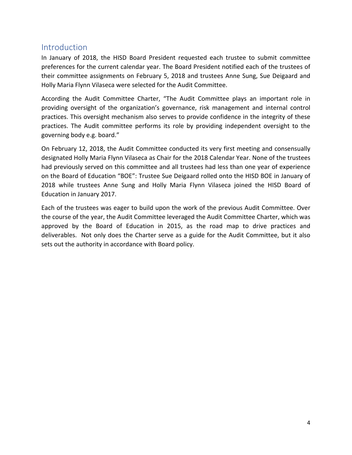#### **Introduction**

In January of 2018, the HISD Board President requested each trustee to submit committee preferences for the current calendar year. The Board President notified each of the trustees of their committee assignments on February 5, 2018 and trustees Anne Sung, Sue Deigaard and Holly Maria Flynn Vilaseca were selected for the Audit Committee.

According the Audit Committee Charter, "The Audit Committee plays an important role in providing oversight of the organization's governance, risk management and internal control practices. This oversight mechanism also serves to provide confidence in the integrity of these practices. The Audit committee performs its role by providing independent oversight to the governing body e.g. board."

On February 12, 2018, the Audit Committee conducted its very first meeting and consensually designated Holly Maria Flynn Vilaseca as Chair for the 2018 Calendar Year. None of the trustees had previously served on this committee and all trustees had less than one year of experience on the Board of Education "BOE": Trustee Sue Deigaard rolled onto the HISD BOE in January of 2018 while trustees Anne Sung and Holly Maria Flynn Vilaseca joined the HISD Board of Education in January 2017.

Each of the trustees was eager to build upon the work of the previous Audit Committee. Over the course of the year, the Audit Committee leveraged the Audit Committee Charter, which was approved by the Board of Education in 2015, as the road map to drive practices and deliverables. Not only does the Charter serve as a guide for the Audit Committee, but it also sets out the authority in accordance with Board policy.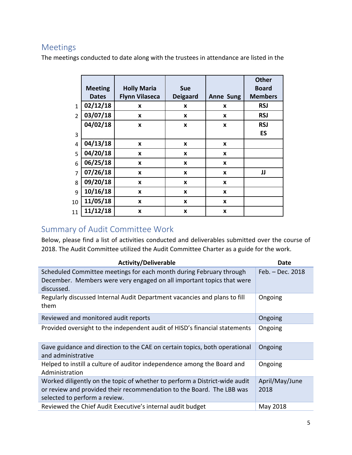#### Meetings

The meetings conducted to date along with the trustees in attendance are listed in the

|                |                |                       |                 |                  | <b>Other</b>   |
|----------------|----------------|-----------------------|-----------------|------------------|----------------|
|                | <b>Meeting</b> | <b>Holly Maria</b>    | <b>Sue</b>      |                  | <b>Board</b>   |
|                | <b>Dates</b>   | <b>Flynn Vilaseca</b> | <b>Deigaard</b> | <b>Anne Sung</b> | <b>Members</b> |
| $\mathbf{1}$   | 02/12/18       | X                     | X               | X                | <b>RSJ</b>     |
| $\overline{2}$ | 03/07/18       | X                     | X               | X                | <b>RSJ</b>     |
|                | 04/02/18       | X                     | X               | X                | <b>RSJ</b>     |
| 3              |                |                       |                 |                  | ES             |
| 4              | 04/13/18       | X                     | X               | X                |                |
| 5              | 04/20/18       | X                     | X               | X                |                |
| 6              | 06/25/18       | X                     | X               | X                |                |
| $\overline{7}$ | 07/26/18       | X                     | X               | X                | JJ             |
| 8              | 09/20/18       | X                     | X               | X                |                |
| 9              | 10/16/18       | X                     | X               | X                |                |
| 10             | 11/05/18       | X                     | X               | X                |                |
| 11             | 11/12/18       | X                     | X               | X                |                |

# Summary of Audit Committee Work

Below, please find a list of activities conducted and deliverables submitted over the course of 2018. The Audit Committee utilized the Audit Committee Charter as a guide for the work.

| <b>Activity/Deliverable</b>                                                                                                                                | Date             |
|------------------------------------------------------------------------------------------------------------------------------------------------------------|------------------|
| Scheduled Committee meetings for each month during February through<br>December. Members were very engaged on all important topics that were<br>discussed. | Feb. - Dec. 2018 |
| Regularly discussed Internal Audit Department vacancies and plans to fill<br>them                                                                          | Ongoing          |
| Reviewed and monitored audit reports                                                                                                                       | Ongoing          |
| Provided oversight to the independent audit of HISD's financial statements                                                                                 | Ongoing          |
| Gave guidance and direction to the CAE on certain topics, both operational<br>and administrative                                                           | Ongoing          |
| Helped to instill a culture of auditor independence among the Board and<br>Administration                                                                  | Ongoing          |
| Worked diligently on the topic of whether to perform a District-wide audit                                                                                 | April/May/June   |
| or review and provided their recommendation to the Board. The LBB was<br>selected to perform a review.                                                     | 2018             |
| Reviewed the Chief Audit Executive's internal audit budget                                                                                                 | May 2018         |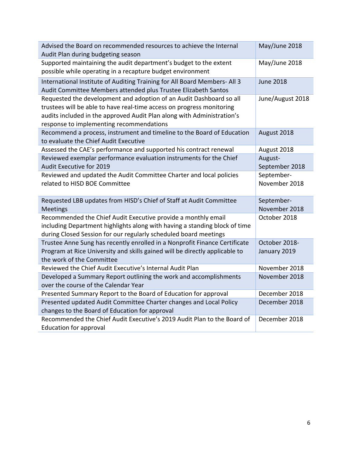| Advised the Board on recommended resources to achieve the Internal<br>Audit Plan during budgeting season                                                                                                                                                           | May/June 2018                 |
|--------------------------------------------------------------------------------------------------------------------------------------------------------------------------------------------------------------------------------------------------------------------|-------------------------------|
| Supported maintaining the audit department's budget to the extent<br>possible while operating in a recapture budget environment                                                                                                                                    | May/June 2018                 |
| International Institute of Auditing Training for All Board Members- All 3<br>Audit Committee Members attended plus Trustee Elizabeth Santos                                                                                                                        | <b>June 2018</b>              |
| Requested the development and adoption of an Audit Dashboard so all<br>trustees will be able to have real-time access on progress monitoring<br>audits included in the approved Audit Plan along with Administration's<br>response to implementing recommendations | June/August 2018              |
| Recommend a process, instrument and timeline to the Board of Education<br>to evaluate the Chief Audit Executive                                                                                                                                                    | August 2018                   |
| Assessed the CAE's performance and supported his contract renewal                                                                                                                                                                                                  | August 2018                   |
| Reviewed exemplar performance evaluation instruments for the Chief<br><b>Audit Executive for 2019</b>                                                                                                                                                              | August-<br>September 2018     |
| Reviewed and updated the Audit Committee Charter and local policies<br>related to HISD BOE Committee                                                                                                                                                               | September-<br>November 2018   |
|                                                                                                                                                                                                                                                                    |                               |
| Requested LBB updates from HISD's Chief of Staff at Audit Committee<br><b>Meetings</b>                                                                                                                                                                             | September-<br>November 2018   |
| Recommended the Chief Audit Executive provide a monthly email<br>including Department highlights along with having a standing block of time<br>during Closed Session for our regularly scheduled board meetings                                                    | October 2018                  |
| Trustee Anne Sung has recently enrolled in a Nonprofit Finance Certificate<br>Program at Rice University and skills gained will be directly applicable to<br>the work of the Committee                                                                             | October 2018-<br>January 2019 |
| Reviewed the Chief Audit Executive's Internal Audit Plan                                                                                                                                                                                                           | November 2018                 |
| Developed a Summary Report outlining the work and accomplishments<br>over the course of the Calendar Year                                                                                                                                                          | November 2018                 |
| Presented Summary Report to the Board of Education for approval                                                                                                                                                                                                    | December 2018                 |
| Presented updated Audit Committee Charter changes and Local Policy<br>changes to the Board of Education for approval                                                                                                                                               | December 2018                 |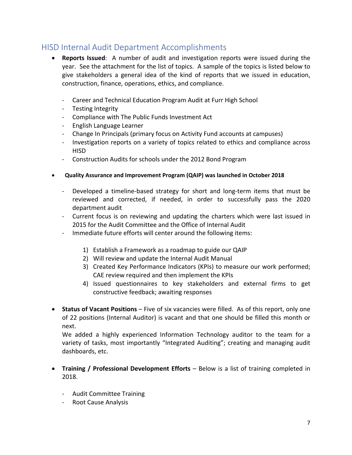### HISD Internal Audit Department Accomplishments

- **Reports Issued:** A number of audit and investigation reports were issued during the year. See the attachment for the list of topics. A sample of the topics is listed below to give stakeholders a general idea of the kind of reports that we issued in education, construction, finance, operations, ethics, and compliance.
	- ‐ Career and Technical Education Program Audit at Furr High School
	- ‐ Testing Integrity
	- ‐ Compliance with The Public Funds Investment Act
	- ‐ English Language Learner
	- ‐ Change In Principals (primary focus on Activity Fund accounts at campuses)
	- ‐ Investigation reports on a variety of topics related to ethics and compliance across HISD
	- ‐ Construction Audits for schools under the 2012 Bond Program
- **Quality Assurance and Improvement Program (QAIP) was launched in October 2018** 
	- Developed a timeline-based strategy for short and long-term items that must be reviewed and corrected, if needed, in order to successfully pass the 2020 department audit
	- ‐ Current focus is on reviewing and updating the charters which were last issued in 2015 for the Audit Committee and the Office of Internal Audit
	- ‐ Immediate future efforts will center around the following items:
		- 1) Establish a Framework as a roadmap to guide our QAIP
		- 2) Will review and update the Internal Audit Manual
		- 3) Created Key Performance Indicators (KPIs) to measure our work performed; CAE review required and then implement the KPIs
		- 4) Issued questionnaires to key stakeholders and external firms to get constructive feedback; awaiting responses
- **Status of Vacant Positions** Five of six vacancies were filled. As of this report, only one of 22 positions (Internal Auditor) is vacant and that one should be filled this month or next.

We added a highly experienced Information Technology auditor to the team for a variety of tasks, most importantly "Integrated Auditing"; creating and managing audit dashboards, etc.

- **Training / Professional Development Efforts** Below is a list of training completed in 2018.
	- ‐ Audit Committee Training
	- ‐ Root Cause Analysis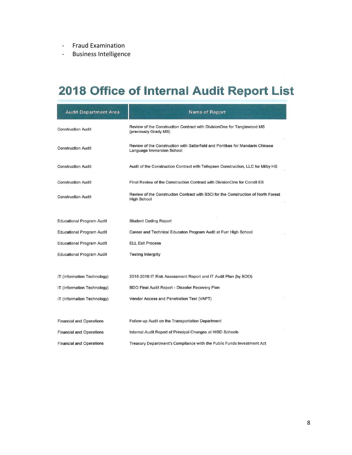- ‐ Fraud Examination
- ‐ Business Intelligence

# 2018 Office of Internal Audit Report List

| <b>Audit Department Area</b>     | <b>Name of Report</b>                                                                                      |
|----------------------------------|------------------------------------------------------------------------------------------------------------|
| <b>Construction Audit</b>        | Review of the Construction Contract with DivisionOne for Tanglewood MS<br>(previously Grady MS)            |
| <b>Construction Audit</b>        | Review of the Construction with Satterfield and Pontikes for Mandarin Chinese<br>Language Immersion School |
| <b>Construction Audit</b>        | Audit of the Construction Contract with Tellepsen Construction, LLC for Milby HS                           |
| <b>Construction Audit</b>        | Final Review of the Construction Contract with DivisionOne for Condit ES                                   |
| <b>Construction Audit</b>        | Review of the Constructon Contract with B3Ci for the Construction of North Forest<br><b>High School</b>    |
| <b>Educational Program Audit</b> | <b>Student Coding Report</b>                                                                               |
| <b>Educational Program Audit</b> | Career and Technical Educaton Program Audit at Furr High School                                            |
| <b>Educational Program Audit</b> | <b>ELL Exit Process</b>                                                                                    |
| <b>Educational Program Audit</b> | <b>Testing Intergrity</b>                                                                                  |
|                                  |                                                                                                            |
| IT (Information Technology)      | 2018-2019 IT Risk Assessment Report and IT Audit Plan (by BDO)                                             |
| IT (Information Technology)      | BDO Final Audit Report - Disaster Recovery Plan                                                            |
| IT (Information Technology)      | Vendor Access and Penetration Test (VAPT)                                                                  |
| <b>Financial and Operations</b>  | Follow-up Audit on the Transportation Department                                                           |
| <b>Financial and Operations</b>  | Internal Audit Report of Principal Changes at HISD Schools                                                 |
| <b>Financial and Operations</b>  | Treasury Department's Compliance with the Public Funds Investment Act                                      |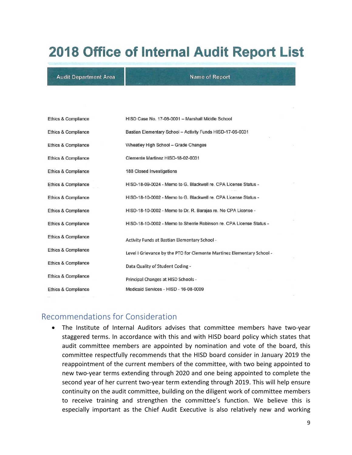# **2018 Office of Internal Audit Report List**

#### **Audit Department Area**

**Name of Report** 

| Ethics & Compliance | HISD Case No. 17-08-0001 - Marshall Middle School                      |
|---------------------|------------------------------------------------------------------------|
| Ethics & Compliance | Bastian Elementary School - Activity Funds HISD-17-05-0031             |
| Ethics & Compliance | Wheatley High School - Grade Changes                                   |
| Ethics & Compliance | Clemente Martinez HISD-18-02-0031                                      |
| Ethics & Compliance | 188 Closed Investigations                                              |
| Ethics & Compliance | HISD-18-09-0024 - Memo to G. Blackwell re. CPA License Status -        |
| Ethics & Compliance | HISD-18-10-0002 - Memo to G. Blackwell re, CPA License Status -        |
| Ethics & Compliance | HISD-18-10-0002 - Memo to Dr. R. Barajas re. No CPA License -          |
| Ethics & Compliance | HISD-18-10-0002 - Memo to Sherrie Robinson re. CPA License Status -    |
| Ethics & Compliance | <b>Activity Funds at Bastian Elementary School -</b>                   |
| Ethics & Compliance | Level I Grievance by the PTO for Clemente Martinez Elementary School - |
| Ethics & Compliance | Data Quality of Student Coding -                                       |
| Ethics & Compliance | Principal Changes at HISD Schools -                                    |
| Ethics & Compliance | Medicaid Services - HISD - 16-08-0009                                  |

#### Recommendations for Consideration

● The Institute of Internal Auditors advises that committee members have two-year staggered terms. In accordance with this and with HISD board policy which states that audit committee members are appointed by nomination and vote of the board, this committee respectfully recommends that the HISD board consider in January 2019 the reappointment of the current members of the committee, with two being appointed to new two‐year terms extending through 2020 and one being appointed to complete the second year of her current two-year term extending through 2019. This will help ensure continuity on the audit committee, building on the diligent work of committee members to receive training and strengthen the committee's function. We believe this is especially important as the Chief Audit Executive is also relatively new and working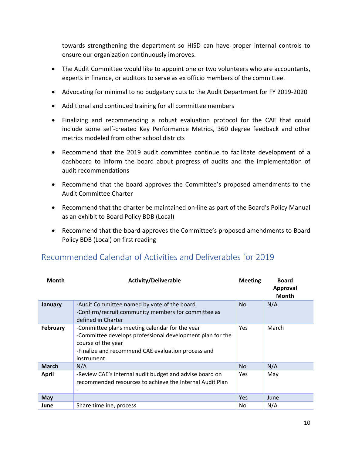towards strengthening the department so HISD can have proper internal controls to ensure our organization continuously improves.

- The Audit Committee would like to appoint one or two volunteers who are accountants, experts in finance, or auditors to serve as ex officio members of the committee.
- Advocating for minimal to no budgetary cuts to the Audit Department for FY 2019-2020
- Additional and continued training for all committee members
- Finalizing and recommending a robust evaluation protocol for the CAE that could include some self‐created Key Performance Metrics, 360 degree feedback and other metrics modeled from other school districts
- Recommend that the 2019 audit committee continue to facilitate development of a dashboard to inform the board about progress of audits and the implementation of audit recommendations
- Recommend that the board approves the Committee's proposed amendments to the Audit Committee Charter
- Recommend that the charter be maintained on-line as part of the Board's Policy Manual as an exhibit to Board Policy BDB (Local)
- Recommend that the board approves the Committee's proposed amendments to Board Policy BDB (Local) on first reading

| <b>Month</b>    | <b>Activity/Deliverable</b>                                                                                                                                                                           | <b>Meeting</b> | <b>Board</b><br><b>Approval</b><br><b>Month</b> |
|-----------------|-------------------------------------------------------------------------------------------------------------------------------------------------------------------------------------------------------|----------------|-------------------------------------------------|
| January         | -Audit Committee named by vote of the board<br>-Confirm/recruit community members for committee as<br>defined in Charter                                                                              | <b>No</b>      | N/A                                             |
| <b>February</b> | -Committee plans meeting calendar for the year<br>-Committee develops professional development plan for the<br>course of the year<br>-Finalize and recommend CAE evaluation process and<br>instrument | Yes.           | March                                           |
| <b>March</b>    | N/A                                                                                                                                                                                                   | <b>No</b>      | N/A                                             |
| <b>April</b>    | -Review CAE's internal audit budget and advise board on<br>recommended resources to achieve the Internal Audit Plan<br>۰                                                                              | <b>Yes</b>     | May                                             |
| <b>May</b>      |                                                                                                                                                                                                       | <b>Yes</b>     | June                                            |
| June            | Share timeline, process                                                                                                                                                                               | No.            | N/A                                             |

### Recommended Calendar of Activities and Deliverables for 2019